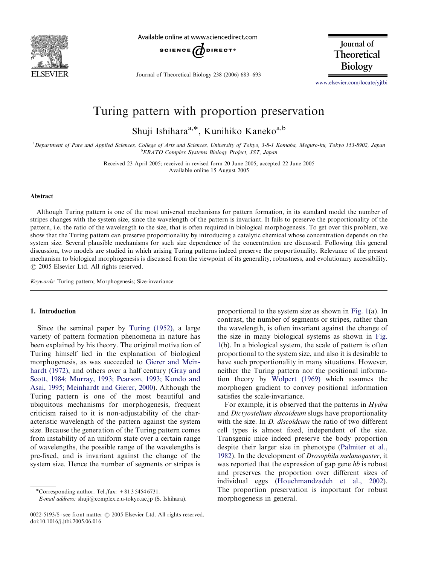

Available online at www.sciencedirect.com



Journal of Theoretical Biology 238 (2006) 683–693

Journal of Theoretical Biology

<www.elsevier.com/locate/yjtbi>

# Turing pattern with proportion preservation

Shuji Ishihara<sup>a,\*</sup>, Kunihiko Kaneko<sup>a,b</sup>

a Department of Pure and Applied Sciences, College of Arts and Sciences, University of Tokyo, 3-8-1 Komaba, Meguro-ku, Tokyo 153-8902, Japan **bERATO Complex Systems Biology Project, JST, Japan** 

> Received 23 April 2005; received in revised form 20 June 2005; accepted 22 June 2005 Available online 15 August 2005

# Abstract

Although Turing pattern is one of the most universal mechanisms for pattern formation, in its standard model the number of stripes changes with the system size, since the wavelength of the pattern is invariant. It fails to preserve the proportionality of the pattern, i.e. the ratio of the wavelength to the size, that is often required in biological morphogenesis. To get over this problem, we show that the Turing pattern can preserve proportionality by introducing a catalytic chemical whose concentration depends on the system size. Several plausible mechanisms for such size dependence of the concentration are discussed. Following this general discussion, two models are studied in which arising Turing patterns indeed preserve the proportionality. Relevance of the present mechanism to biological morphogenesis is discussed from the viewpoint of its generality, robustness, and evolutionary accessibility.  $\odot$  2005 Elsevier Ltd. All rights reserved.

Keywords: Turing pattern; Morphogenesis; Size-invariance

# 1. Introduction

Since the seminal paper by [Turing \(1952\),](#page-10-0) a large variety of pattern formation phenomena in nature has been explained by his theory. The original motivation of Turing himself lied in the explanation of biological morphogenesis, as was succeeded to [Gierer and Mein](#page-10-0)[hardt \(1972\),](#page-10-0) and others over a half century [\(Gray and](#page-10-0) [Scott, 1984; Murray, 1993; Pearson, 1993; Kondo and](#page-10-0) [Asai, 1995; Meinhardt and Gierer, 2000](#page-10-0)). Although the Turing pattern is one of the most beautiful and ubiquitous mechanisms for morphogenesis, frequent criticism raised to it is non-adjustability of the characteristic wavelength of the pattern against the system size. Because the generation of the Turing pattern comes from instability of an uniform state over a certain range of wavelengths, the possible range of the wavelengths is pre-fixed, and is invariant against the change of the system size. Hence the number of segments or stripes is

\*Corresponding author. Tel./fax:  $+81354546731$ .

E-mail address: shuji@complex.c.u-tokyo.ac.jp (S. Ishihara).

proportional to the system size as shown in [Fig. 1](#page-1-0)(a). In contrast, the number of segments or stripes, rather than the wavelength, is often invariant against the change of the size in many biological systems as shown in [Fig.](#page-1-0) [1\(](#page-1-0)b). In a biological system, the scale of pattern is often proportional to the system size, and also it is desirable to have such proportionality in many situations. However, neither the Turing pattern nor the positional information theory by [Wolpert \(1969\)](#page-10-0) which assumes the morphogen gradient to convey positional information satisfies the scale-invariance.

For example, it is observed that the patterns in *Hydra* and Dictyostelium discoideum slugs have proportionality with the size. In *D. discoideum* the ratio of two different cell types is almost fixed, independent of the size. Transgenic mice indeed preserve the body proportion despite their larger size in phenotype ([Palmiter et al.,](#page-10-0) [1982](#page-10-0)). In the development of Drosophila melanogaster, it was reported that the expression of gap gene hb is robust and preserves the proportion over different sizes of individual eggs ([Houchmandzadeh et al., 2002\)](#page-10-0). The proportion preservation is important for robust morphogenesis in general.

 $0022-5193/\$ S - see front matter  $\odot$  2005 Elsevier Ltd. All rights reserved. doi:10.1016/j.jtbi.2005.06.016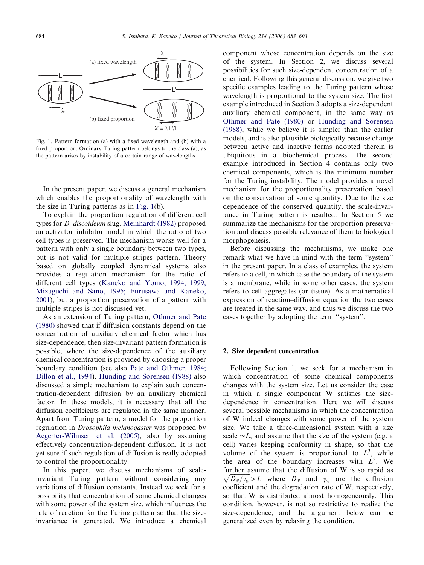<span id="page-1-0"></span>

Fig. 1. Pattern formation (a) with a fixed wavelength and (b) with a fixed proportion. Ordinary Turing pattern belongs to the class (a), as the pattern arises by instability of a certain range of wavelengths.

In the present paper, we discuss a general mechanism which enables the proportionality of wavelength with the size in Turing patterns as in Fig. 1(b).

To explain the proportion regulation of different cell types for D. discoideum slug, [Meinhardt \(1982](#page-10-0)) proposed an activator–inhibitor model in which the ratio of two cell types is preserved. The mechanism works well for a pattern with only a single boundary between two types, but is not valid for multiple stripes pattern. Theory based on globally coupled dynamical systems also provides a regulation mechanism for the ratio of different cell types [\(Kaneko and Yomo, 1994, 1999](#page-10-0); [Mizuguchi and Sano, 1995; Furusawa and Kaneko](#page-10-0), [200](#page-10-0)1), but a proportion preservation of a pattern with multiple stripes is not discussed yet.

As an extension of Turing pattern, [Othmer and Pat](#page-10-0)e [\(1980](#page-10-0)) showed that if diffusion constants depend on the concentration of auxiliary chemical factor which has size-dependence, then size-invariant pattern formation is possible, where the size-dependence of the auxiliary chemical concentration is provided by choosing a proper boundary condition (see also [Pate and Othmer, 1984](#page-10-0); [Dillon et al., 199](#page-10-0)4). [Hunding and Sorensen \(1988](#page-10-0)) also discussed a simple mechanism to explain such concentration-dependent diffusion by an auxiliary chemical factor. In these models, it is necessary that all the diffusion coefficients are regulated in the same manner. Apart from Turing pattern, a model for the proportion regulation in Drosophila melanogaster was proposed by [Aegerter-Wilmsen et al. \(2005](#page-9-0)), also by assuming effectively concentration-dependent diffusion. It is not yet sure if such regulation of diffusion is really adopted to control the proportionality.

In this paper, we discuss mechanisms of scaleinvariant Turing pattern without considering any variations of diffusion constants. Instead we seek for a possibility that concentration of some chemical changes with some power of the system size, which influences the rate of reaction for the Turing pattern so that the sizeinvariance is generated. We introduce a chemical component whose concentration depends on the size of the system. In Section 2, we discuss several possibilities for such size-dependent concentration of a chemical. Following this general discussion, we give two specific examples leading to the Turing pattern whose wavelength is proportional to the system size. The first example introduced in Section 3 adopts a size-dependent auxiliary chemical component, in the same way as [Othmer and Pate \(1980](#page-10-0)) or [Hunding and Sorense](#page-10-0)n [\(1988](#page-10-0)), while we believe it is simpler than the earlier models, and is also plausible biologically because change between active and inactive forms adopted therein is ubiquitous in a biochemical process. The second example introduced in Section 4 contains only two chemical components, which is the minimum number for the Turing instability. The model provides a novel mechanism for the proportionality preservation based on the conservation of some quantity. Due to the size dependence of the conserved quantity, the scale-invariance in Turing pattern is resulted. In Section 5 we summarize the mechanisms for the proportion preservation and discuss possible relevance of them to biological morphogenesis.

Before discussing the mechanisms, we make one remark what we have in mind with the term ''system'' in the present paper. In a class of examples, the system refers to a cell, in which case the boundary of the system is a membrane, while in some other cases, the system refers to cell aggregates (or tissue). As a mathematical expression of reaction–diffusion equation the two cases are treated in the same way, and thus we discuss the two cases together by adopting the term ''system''.

#### 2. Size dependent concentration

Following Section 1, we seek for a mechanism in which concentration of some chemical components changes with the system size. Let us consider the case in which a single component W satisfies the sizedependence in concentration. Here we will discuss several possible mechanisms in which the concentration of W indeed changes with some power of the system size. We take a three-dimensional system with a size scale  $\sim L$ , and assume that the size of the system (e.g. a cell) varies keeping conformity in shape, so that the volume of the system is proportional to  $L^3$ , while the area of the boundary increases with  $L^2$ . We further assume that the diffusion of  $W$  is so rapid as  $\sqrt{D_w/\gamma_w} > L$  where  $D_w$  and  $\gamma_w$  are the diffusion coefficient and the degradation rate of W, respectively, so that W is distributed almost homogeneously. This condition, however, is not so restrictive to realize the size-dependence, and the argument below can be generalized even by relaxing the condition.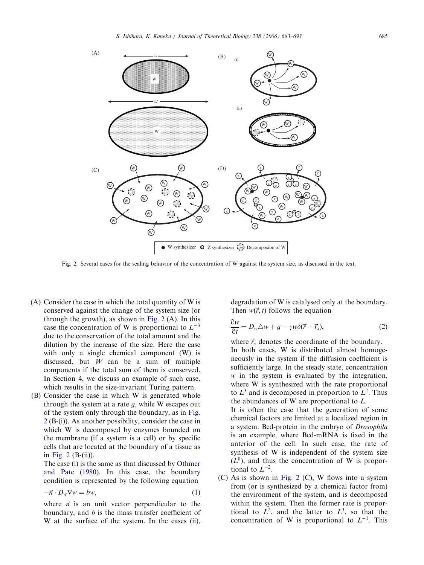<span id="page-2-0"></span>

Fig. 2. Several cases for the scaling behavior of the concentration of W against the system size, as discussed in the text.

- (A) Consider the case in which the total quantity of W is conserved against the change of the system size (or through the growth), as shown in Fig.  $2(A)$ . In this case the concentration of W is proportional to  $L^{-3}$ due to the conservation of the total amount and the dilution by the increase of the size. Here the case with only a single chemical component (W) is discussed, but  $W$  can be a sum of multiple components if the total sum of them is conserved. In Section 4, we discuss an example of such case, which results in the size-invariant Turing pattern.
- (B) Consider the case in which W is generated whole through the system at a rate  $g$ , while W escapes out of the system only through the boundary, as in Fig. 2 (B-(i)). As another possibility, consider the case in which W is decomposed by enzymes bounded on the membrane (if a system is a cell) or by specific cells that are located at the boundary of a tissue as in Fig. 2 (B-(ii)).

The case (i) is the same as that discussed by [Othmer](#page-10-0) [and Pate \(1980\).](#page-10-0) In this case, the boundary condition is represented by the following equation

$$
-\vec{n} \cdot D_w \nabla w = bw,\tag{1}
$$

where  $\vec{n}$  is an unit vector perpendicular to the boundary, and  $b$  is the mass transfer coefficient of W at the surface of the system. In the cases (ii), degradation of W is catalysed only at the boundary. Then  $w(\vec{r}, t)$  follows the equation

$$
\frac{\partial w}{\partial t} = D_w \triangle w + g - \gamma w \delta(\vec{r} - \vec{r}_s), \tag{2}
$$

where  $\vec{r}_s$  denotes the coordinate of the boundary.

In both cases, W is distributed almost homogeneously in the system if the diffusion coefficient is sufficiently large. In the steady state, concentration  $w$  in the system is evaluated by the integration, where W is synthesized with the rate proportional to  $L^3$  and is decomposed in proportion to  $L^2$ . Thus the abundances of W are proportional to L.

It is often the case that the generation of some chemical factors are limited at a localized region in a system. Bcd-protein in the embryo of Drosophila is an example, where Bcd-mRNA is fixed in the anterior of the cell. In such case, the rate of synthesis of W is independent of the system size  $(L<sup>0</sup>)$ , and thus the concentration of W is proportional to  $L^{-2}$ .

(C) As is shown in Fig. 2 (C), W flows into a system from (or is synthesized by a chemical factor from) the environment of the system, and is decomposed within the system. Then the former rate is proportional to  $L^2$ , and the latter to  $L^3$ , so that the concentration of W is proportional to  $L^{-1}$ . This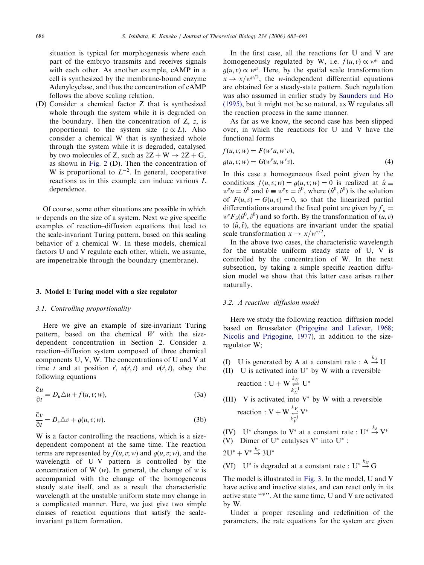situation is typical for morphogenesis where each part of the embryo transmits and receives signals with each other. As another example, cAMP in a cell is synthesized by the membrane-bound enzyme Adenylcyclase, and thus the concentration of cAMP follows the above scaling relation.

(D) Consider a chemical factor Z that is synthesized whole through the system while it is degraded on the boundary. Then the concentration of  $Z$ ,  $z$ , is proportional to the system size  $(z \propto L)$ . Also consider a chemical W that is synthesized whole through the system while it is degraded, catalysed by two molecules of Z, such as  $2Z + W \rightarrow 2Z + G$ , as shown in [Fig.](#page-2-0) 2 (D). Then the concentration of W is proportional to  $L^{-2}$ . In general, cooperative reactions as in this example can induce various L dependence.

Of course, some other situations are possible in which w depends on the size of a system. Next we give specific examples of reaction–diffusion equations that lead to the scale-invariant Turing pattern, based on this scaling behavior of a chemical W. In these models, chemical factors U and V regulate each other, which, we assume, are impenetrable through the boundary (membrane).

## 3. Model I: Turing model with a size regulator

## 3.1. Controlling proportionality

Here we give an example of size-invariant Turing pattern, based on the chemical  $W$  with the sizedependent concentration in Section 2. Consider a reaction–diffusion system composed of three chemical components U, V, W. The concentrations of U and V at time t and at position  $\vec{r}$ ,  $u(\vec{r},t)$  and  $v(\vec{r},t)$ , obey the following equations

$$
\frac{\partial u}{\partial t} = D_u \triangle u + f(u, v; w), \tag{3a}
$$

$$
\frac{\partial v}{\partial t} = D_v \triangle v + g(u, v; w). \tag{3b}
$$

W is a factor controlling the reactions, which is a sizedependent component at the same time. The reaction terms are represented by  $f(u, v; w)$  and  $g(u, v; w)$ , and the wavelength of U–V pattern is controlled by the concentration of W  $(w)$ . In general, the change of w is accompanied with the change of the homogeneous steady state itself, and as a result the characteristic wavelength at the unstable uniform state may change in a complicated manner. Here, we just give two simple classes of reaction equations that satisfy the scaleinvariant pattern formation.

In the first case, all the reactions for U and V are homogeneously regulated by W, i.e.  $f(u, v) \propto w^{\mu}$  and  $g(u, v) \propto w^{\mu}$ . Here, by the spatial scale transformation  $x \to x/w^{\mu/2}$ , the w-independent differential equations are obtained for a steady-state pattern. Such regulation was also assumed in earlier study by [Saunders and H](#page-10-0)o [\(1995](#page-10-0)), but it might not be so natural, as W regulates all the reaction process in the same manner.

As far as we know, the second case has been slipped over, in which the reactions for U and V have the functional forms

$$
f(u, v; w) = F(w^v u, w^v v), g(u, v; w) = G(w^v u, w^v v).
$$
 (4)

In this case a homogeneous fixed point given by the conditions  $f(u, v; w) = g(u, v; w) = 0$  is realized at  $\hat{u} \equiv$  $w^{\nu}u = \hat{u}^0$  and  $\hat{v} \equiv w^{\nu}v = \hat{v}^0$ , where  $(\hat{u}^0, \hat{v}^0)$  is the solution of  $F(u, v) = G(u, v) = 0$ , so that the linearized partial differentiations around the fixed point are given by  $f_u =$  $w^v F_{\hat{u}}(\hat{u}^0, \hat{v}^0)$  and so forth. By the transformation of  $(u, v)$ to  $(\hat{u}, \hat{v})$ , the equations are invariant under the spatial scale transformation  $x \to x/w^{v/2}$ ,

In the above two cases, the characteristic wavelength for the unstable uniform steady state of U, V is controlled by the concentration of W. In the next subsection, by taking a simple specific reaction–diffusion model we show that this latter case arises rather naturally.

#### 3.2. A reaction– diffusion model

Here we study the following reaction–diffusion model based on Brusselator [\(Prigogine and Lefever, 1968](#page-10-0); [Nicolis and Prigogine, 197](#page-10-0)7), in addition to the sizeregulator W;

- (I) U is generated by A at a constant rate : A  $\stackrel{k_A}{\rightarrow}$  U
- (II) U is activated into  $U^*$  by W with a reversible

reaction : U + W  $\stackrel{k_U}{\rightleftharpoons}$  $k_U^{-1}$  $U^*$ 

(III) V is activated into  $V^*$  by W with a reversible reaction :  $V + W \stackrel{k_V}{\rightleftharpoons}$  $k_V^{-1}$  $V^*$ 

(IV) U<sup>\*</sup> changes to V<sup>\*</sup> at a constant rate : U<sup>\*</sup> 
$$
\xrightarrow{k_b}
$$
 V<sup>\*</sup>

(V) Dimer of  $U^*$  catalyses  $V^*$  into  $U^*$  :

 $2U^* + V^* \stackrel{k_a}{\rightarrow} 3U^*$ 

(VI) U<sup>\*</sup> is degraded at a constant rate : U<sup>\*</sup> $\stackrel{k_G}{\rightarrow} G$ 

The model is illustrated in [Fig.](#page-4-0) 3. In the model, U and V have active and inactive states, and can react only in its active state ''\*''. At the same time, U and V are activated by W.

Under a proper rescaling and redefinition of the parameters, the rate equations for the system are given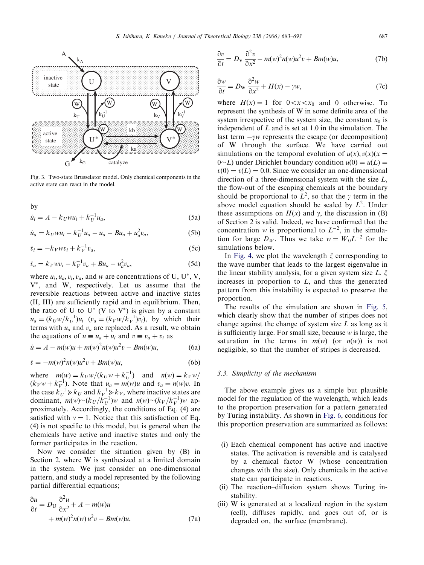<span id="page-4-0"></span>

Fig. 3. Two-state Brusselator model. Only chemical components in the active state can react in the model.

by  $\dot{u}_i = A - k_U w u_i + k_U^{-1}$  $U^{-1}u_a,$  (5a)

$$
\dot{u}_a = k_U w u_i - k_U^{-1} u_a - u_a - B u_a + u_a^2 v_a, \tag{5b}
$$

$$
\dot{v}_i = -k_V w v_i + k_V^{-1} v_a,\tag{5c}
$$

$$
\dot{v}_a = k_V w v_i - k_V^{-1} v_a + B u_a - u_a^2 v_a,
$$
\n(5d)

where  $u_i, u_a, v_i, v_a$ , and w are concentrations of U, U<sup>\*</sup>, V, V, and W, respectively. Let us assume that the reversible reactions between active and inactive states (II, III) are sufficiently rapid and in equilibrium. Then, the ratio of U to U<sup>\*</sup> (V to V<sup>\*</sup>) is given by a constant  $u_a = (k_U w / k_U^{-1}) u_i$   $(v_a = (k_V w / k_V^{-1}) v_i)$ , by which their terms with  $u_a$  and  $v_a$  are replaced. As a result, we obtain the equations of  $u \equiv u_a + u_i$  and  $v \equiv v_a + v_i$  as

$$
\dot{u} = A - m(w)u + m(w)^{2}n(w)u^{2}v - Bm(w)u,
$$
 (6a)

$$
\dot{v} = -m(w)^2 n(w) u^2 v + Bm(w) u,\tag{6b}
$$

where  $m(w) = k_U w / (k_U w + k_U^{-1})$  and  $n(w) = k_V w / (k_U w + k_U^{-1})$  $(k_V w + k_V^{-1})$ . Note that  $u_a = m(w)u$  and  $v_a = n(w)v$ . In the case  $k_U^{-1} \ge k_U$  and  $k_V^{-1} \ge k_V$ , where inactive states are dominant,  $m(w) \sim (k_U / k_U^{-1})w$  and  $n(w) \sim (k_V / k_V^{-1})w$  approximately. Accordingly, the conditions of Eq. (4) are satisfied with  $v = 1$ . Notice that this satisfaction of Eq. (4) is not specific to this model, but is general when the chemicals have active and inactive states and only the former participates in the reaction.

Now we consider the situation given by (B) in Section 2, where W is synthesized at a limited domain in the system. We just consider an one-dimensional pattern, and study a model represented by the following partial differential equations;

$$
\frac{\partial u}{\partial t} = D_U \frac{\partial^2 u}{\partial x^2} + A - m(w)u + m(w)^2 n(w) u^2 v - B m(w) u,
$$
 (7a)

$$
\frac{\partial v}{\partial t} = D_V \frac{\partial^2 v}{\partial x^2} - m(w)^2 n(w) u^2 v + B m(w) u,\tag{7b}
$$

$$
\frac{\partial w}{\partial t} = D_{\rm W} \frac{\partial^2 w}{\partial x^2} + H(x) - \gamma w,\tag{7c}
$$

where  $H(x) = 1$  for  $0 < x < x_0$  and 0 otherwise. To represent the synthesis of W in some definite area of the system irrespective of the system size, the constant  $x_0$  is independent of  $L$  and is set at 1.0 in the simulation. The last term  $-\gamma w$  represents the escape (or decomposition) of W through the surface. We have carried out simulations on the temporal evolution of  $u(x)$ ,  $v(x)$  (x =  $0\sim L$ ) under Dirichlet boundary condition  $u(0) = u(L)$  $v(0) = v(L) = 0.0$ . Since we consider an one-dimensional direction of a three-dimensional system with the size  $L$ , the flow-out of the escaping chemicals at the boundary should be proportional to  $L^2$ , so that the  $\gamma$  term in the above model equation should be scaled by  $L^2$ . Under these assumptions on  $H(x)$  and  $\gamma$ , the discussion in (B) of Section 2 is valid. Indeed, we have confirmed that the concentration w is proportional to  $L^{-2}$ , in the simulation for large  $D_W$ . Thus we take  $w = W_0 L^{-2}$  for the simulations below.

In [Fig. 4,](#page-5-0) we plot the wavelength  $\xi$  corresponding to the wave number that leads to the largest eigenvalue in the linear stability analysis, for a given system size  $L$ .  $\xi$ increases in proportion to  $L$ , and thus the generated pattern from this instability is expected to preserve the proportion.

The results of the simulation are shown in [Fig. 5,](#page-5-0) which clearly show that the number of stripes does not change against the change of system size  $L$  as long as it is sufficiently large. For small size, because w is large, the saturation in the terms in  $m(w)$  (or  $n(w)$ ) is not negligible, so that the number of stripes is decreased.

## 3.3. Simplicity of the mechanism

The above example gives us a simple but plausible model for the regulation of the wavelength, which leads to the proportion preservation for a pattern generated by Turing instability. As shown in [Fig. 6](#page-6-0), conditions for this proportion preservation are summarized as follows:

- (i) Each chemical component has active and inactive states. The activation is reversible and is catalysed by a chemical factor W (whose concentration changes with the size). Only chemicals in the active state can participate in reactions.
- (ii) The reaction–diffusion system shows Turing instability.
- (iii) W is generated at a localized region in the system (cell), diffuses rapidly, and goes out of, or is degraded on, the surface (membrane).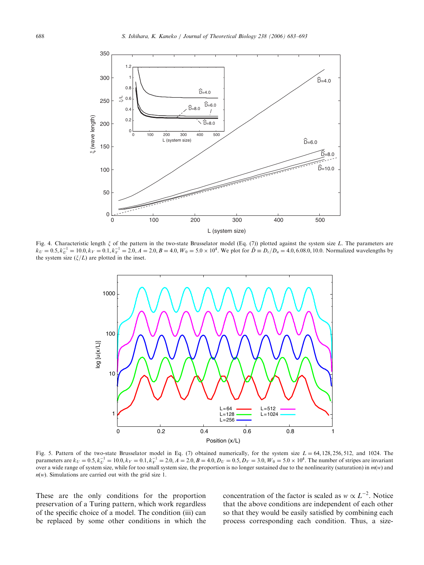<span id="page-5-0"></span>

Fig. 4. Characteristic length  $\xi$  of the pattern in the two-state Brusselator model (Eq. (7)) plotted against the system size L. The parameters are  $k_U = 0.5, k_U^{-1} = 10.0, k_V = 0.1, k_V^{-1} = 2.0, A = 2.0, B = 4.0, W_0 = 5.0 \times 10^4$ . We plot for  $\hat{D} \equiv D_v/D_u = 4.0, 6.08.0, 10.0$ . Normalized wavelengths by the system size  $(\xi/L)$  are plotted in the inset.



Fig. 5. Pattern of the two-state Brusselator model in Eq. (7) obtained numerically, for the system size  $L = 64, 128, 256, 512,$  and 1024. The parameters are  $k_U = 0.5, k_U^{-1} = 10.0, k_V = 0.1, k_V^{-1} = 2.0, A = 2.0, B = 4.0, D_U = 0.5, D_V = 3.0, W_0 = 5.0 \times 10^4$ . The number of stripes are invariant over a wide range of system size, while for too small system size, the proportion is no longer sustained due to the nonlinearity (saturation) in  $m(w)$  and  $n(w)$ . Simulations are carried out with the grid size 1.

These are the only conditions for the proportion preservation of a Turing pattern, which work regardless of the specific choice of a model. The condition (iii) can be replaced by some other conditions in which the

concentration of the factor is scaled as  $w \propto L^{-2}$ . Notice that the above conditions are independent of each other so that they would be easily satisfied by combining each process corresponding each condition. Thus, a size-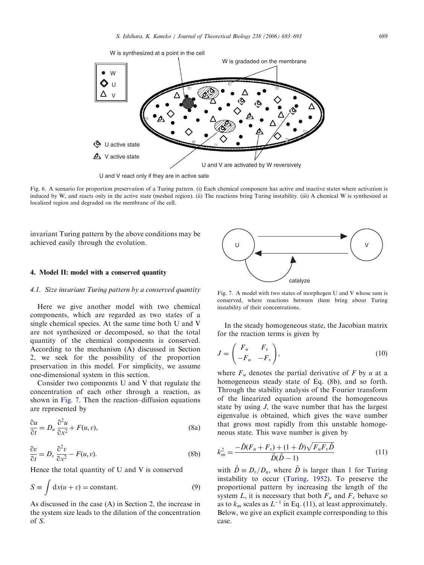<span id="page-6-0"></span>

Fig. 6. A scenario for proportion preservation of a Turing pattern. (i) Each chemical component has active and inactive states where activation is induced by W, and reacts only in the active state (meshed region). (ii) The reactions bring Turing instability. (iii) A chemical W is synthesized at localized region and degraded on the membrane of the cell.

invariant Turing pattern by the above conditions may be achieved easily through the evolution.

#### 4. Model II: model with a conserved quantity

# 4.1. Size invariant Turing pattern by a conserved quantity

Here we give another model with two chemical components, which are regarded as two states of a single chemical species. At the same time both U and V are not synthesized or decomposed, so that the total quantity of the chemical components is conserved. According to the mechanism (A) discussed in Section 2, we seek for the possibility of the proportion preservation in this model. For simplicity, we assume one-dimensional system in this section.

Consider two components U and V that regulate the concentration of each other through a reaction, as shown in Fig. 7. Then the reaction–diffusion equations are represented by

$$
\frac{\partial u}{\partial t} = D_u \frac{\partial^2 u}{\partial x^2} + F(u, v),\tag{8a}
$$

$$
\frac{\partial v}{\partial t} = D_v \frac{\partial^2 v}{\partial x^2} - F(u, v).
$$
 (8b)

Hence the total quantity of U and V is conserved

$$
S \equiv \int dx (u + v) = \text{constant.} \tag{9}
$$

As discussed in the case (A) in Section 2, the increase in the system size leads to the dilution of the concentration of S.



Fig. 7. A model with two states of morphogen U and V whose sum is conserved, where reactions between them bring about Turing instability of their concentrations.

In the steady homogeneous state, the Jacobian matrix for the reaction terms is given by

$$
J = \begin{pmatrix} F_u & F_v \\ -F_u & -F_v \end{pmatrix},\tag{10}
$$

where  $F_u$  denotes the partial derivative of F by u at a homogeneous steady state of Eq. (8b), and so forth. Through the stability analysis of the Fourier transform of the linearized equation around the homogeneous state by using J, the wave number that has the largest eigenvalue is obtained, which gives the wave number that grows most rapidly from this unstable homogeneous state. This wave number is given by

$$
k_m^2 = \frac{-\hat{D}(F_u + F_v) + (1 + \hat{D})\sqrt{F_u F_v \hat{D}}}{\hat{D}(\hat{D} - 1)}
$$
(11)

with  $\hat{D} \equiv D_v/D_u$ , where  $\hat{D}$  is larger than 1 for Turing instability to occur ([Turing, 1952\)](#page-10-0). To preserve the proportional pattern by increasing the length of the system L, it is necessary that both  $F_u$  and  $F_v$  behave so as to  $k_m$  scales as  $L^{-1}$  in Eq. (11), at least approximately. Below, we give an explicit example corresponding to this case.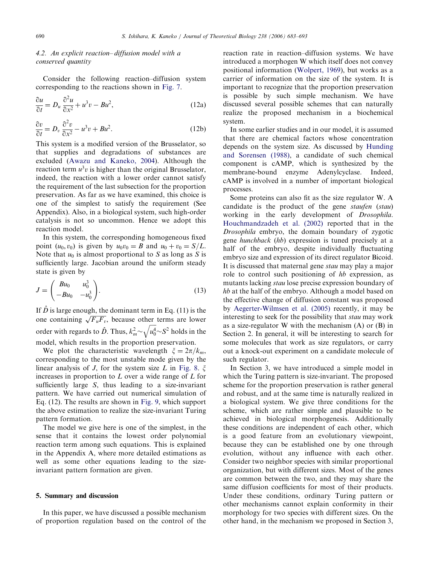# 4.2. An explicit reaction– diffusion model with a conserved quantity

Consider the following reaction–diffusion system corresponding to the reactions shown in [Fig.](#page-6-0) 7.

$$
\frac{\partial u}{\partial t} = D_u \frac{\partial^2 u}{\partial x^2} + u^3 v - B u^2,\tag{12a}
$$

$$
\frac{\partial v}{\partial t} = D_v \frac{\partial^2 v}{\partial x^2} - u^3 v + B u^2.
$$
 (12b)

This system is a modified version of the Brusselator, so that supplies and degradations of substances are excluded [\(Awazu and Kaneko, 200](#page-10-0)4). Although the reaction term  $u^3v$  is higher than the original Brusselator, indeed, the reaction with a lower order cannot satisfy the requirement of the last subsection for the proportion preservation. As far as we have examined, this choice is one of the simplest to satisfy the requirement (See Appendix). Also, in a biological system, such high-order catalysis is not so uncommon. Hence we adopt this reaction model.

In this system, the corresponding homogeneous fixed point  $(u_0, v_0)$  is given by  $u_0v_0 = B$  and  $u_0 + v_0 = S/L$ . Note that  $u_0$  is almost proportional to S as long as S is sufficiently large. Jacobian around the uniform steady state is given by

$$
J = \begin{pmatrix} Bu_0 & u_0^3 \\ -Bu_0 & -u_0^3 \end{pmatrix}.
$$
 (13)

If  $\hat{D}$  is large enough, the dominant term in Eq. (11) is the one containing  $\sqrt{F_uF_v}$ , because other terms are lower order with regards to  $\hat{D}$ . Thus,  $k_m^2 \sim$  $\frac{1}{\sqrt{2}}$  $u_0^4$  $\sqrt{u_0^4} \sim S^2$  holds in the model, which results in the proportion preservation.

We plot the characteristic wavelength  $\xi = 2\pi/k_m$ , corresponding to the most unstable mode given by the linear analysis of J, for the system size L in [Fig.](#page-8-0) 8.  $\xi$ increases in proportion to  $L$  over a wide range of  $L$  for sufficiently large S, thus leading to a size-invariant pattern. We have carried out numerical simulation of Eq. (12). The results are shown in [Fig.](#page-8-0) 9, which support the above estimation to realize the size-invariant Turing pattern formation.

The model we give here is one of the simplest, in the sense that it contains the lowest order polynomial reaction term among such equations. This is explained in the Appendix A, where more detailed estimations as well as some other equations leading to the sizeinvariant pattern formation are given.

## 5. Summary and discussion

In this paper, we have discussed a possible mechanism of proportion regulation based on the control of the

reaction rate in reaction–diffusion systems. We have introduced a morphogen W which itself does not convey positional informatio[n \(Wolpert, 196](#page-10-0)9), but works as a carrier of information on the size of the system. It is important to recognize that the proportion preservation is possible by such simple mechanism. We have discussed several possible schemes that can naturally realize the proposed mechanism in a biochemical system.

In some earlier studies and in our model, it is assumed that there are chemical factors whose concentration depends on the system size. As discussed by [Hundin](#page-10-0)g [and Sorensen \(1988](#page-10-0)), a candidate of such chemical component is cAMP, which is synthesized by the membrane-bound enzyme Adenylcyclase. Indeed, cAMP is involved in a number of important biological processes.

Some proteins can also fit as the size regulator W. A candidate is the product of the gene staufen (stau) working in the early development of Drosophila. [Houchmandzadeh et al. \(2002](#page-10-0)) reported that in the Drosophila embryo, the domain boundary of zygotic gene hunchback (hb) expression is tuned precisely at a half of the embryo, despite individually fluctuating embryo size and expression of its direct regulator Bicoid. It is discussed that maternal gene *stau* may play a major role to control such positioning of hb expression, as mutants lacking stau lose precise expression boundary of hb at the half of the embryo. Although a model based on the effective change of diffusion constant was proposed by [Aegerter-Wilmsen et al. \(2005](#page-9-0)) recently, it may be interesting to seek for the possibility that stau may work as a size-regulator W with the mechanism (A) or (B) in Section 2. In general, it will be interesting to search for some molecules that work as size regulators, or carry out a knock-out experiment on a candidate molecule of such regulator.

In Section 3, we have introduced a simple model in which the Turing pattern is size-invariant. The proposed scheme for the proportion preservation is rather general and robust, and at the same time is naturally realized in a biological system. We give three conditions for the scheme, which are rather simple and plausible to be achieved in biological morphogenesis. Additionally these conditions are independent of each other, which is a good feature from an evolutionary viewpoint, because they can be established one by one through evolution, without any influence with each other. Consider two neighbor species with similar proportional organization, but with different sizes. Most of the genes are common between the two, and they may share the same diffusion coefficients for most of their products. Under these conditions, ordinary Turing pattern or other mechanisms cannot explain conformity in their morphology for two species with different sizes. On the other hand, in the mechanism we proposed in Section 3,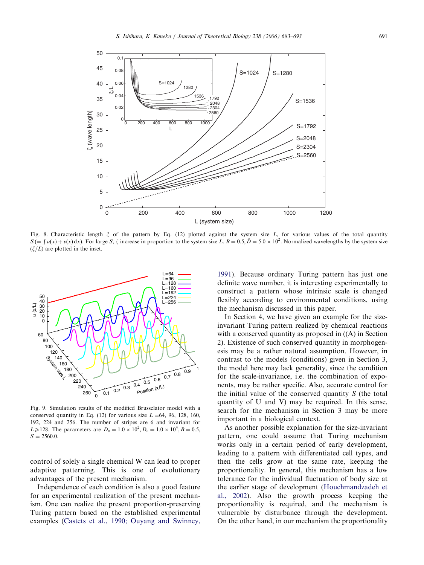<span id="page-8-0"></span>

Fig. 8. Characteristic length  $\xi$  of the pattern by Eq. (12) plotted against the system size L, for various values of the total quantity  $S = \int u(x) + v(x) dx$ . For large S,  $\xi$  increase in proportion to the system size L.  $B = 0.5$ ,  $\hat{D} = 5.0 \times 10^2$ . Normalized wavelengths by the system size  $(\xi/L)$  are plotted in the inset.



Fig. 9. Simulation results of the modified Brusselator model with a conserved quantity in Eq. (12) for various size  $L = 64, 96, 128, 160,$ 192, 224 and 256. The number of stripes are 6 and invariant for L  $\geq$  128. The parameters are  $D_u = 1.0 \times 10^2$ ,  $D_v = 1.0 \times 10^4$ ,  $B = 0.5$ ,  $S = 2560.0$ .

control of solely a single chemical W can lead to proper adaptive patterning. This is one of evolutionary advantages of the present mechanism.

Independence of each condition is also a good feature for an experimental realization of the present mechanism. One can realize the present proportion-preserving Turing pattern based on the established experimental examples ([Castets et al., 1990; Ouyang and Swinney,](#page-10-0) [1991](#page-10-0)). Because ordinary Turing pattern has just one definite wave number, it is interesting experimentally to construct a pattern whose intrinsic scale is changed flexibly according to environmental conditions, using the mechanism discussed in this paper.

In Section 4, we have given an example for the sizeinvariant Turing pattern realized by chemical reactions with a conserved quantity as proposed in ((A) in Section 2). Existence of such conserved quantity in morphogenesis may be a rather natural assumption. However, in contrast to the models (conditions) given in Section 3, the model here may lack generality, since the condition for the scale-invariance, i.e. the combination of exponents, may be rather specific. Also, accurate control for the initial value of the conserved quantity  $S$  (the total quantity of U and V) may be required. In this sense, search for the mechanism in Section 3 may be more important in a biological context.

As another possible explanation for the size-invariant pattern, one could assume that Turing mechanism works only in a certain period of early development, leading to a pattern with differentiated cell types, and then the cells grow at the same rate, keeping the proportionality. In general, this mechanism has a low tolerance for the individual fluctuation of body size at the earlier stage of development ([Houchmandzadeh et](#page-10-0) [al., 2002](#page-10-0)). Also the growth process keeping the proportionality is required, and the mechanism is vulnerable by disturbance through the development. On the other hand, in our mechanism the proportionality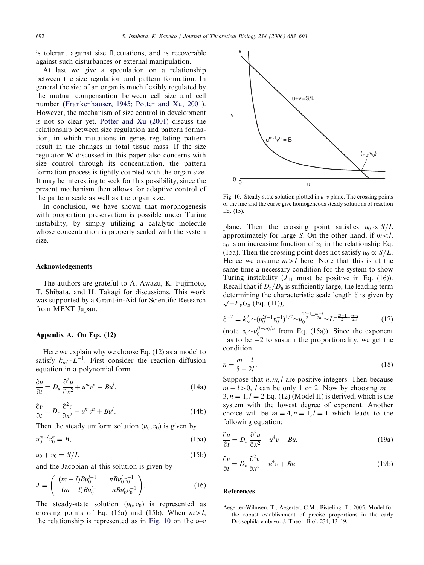<span id="page-9-0"></span>is tolerant against size fluctuations, and is recoverable against such disturbances or external manipulation.

At last we give a speculation on a relationship between the size regulation and pattern formation. In general the size of an organ is much flexibly regulated by the mutual compensation between cell size and cell number [\(Frankenhauser, 1945; Potter and Xu, 200](#page-10-0)1). However, the mechanism of size control in development is not so clear yet. [Potter and Xu \(2001](#page-10-0)) discuss the relationship between size regulation and pattern formation, in which mutations in genes regulating pattern result in the changes in total tissue mass. If the size regulator W discussed in this paper also concerns with size control through its concentration, the pattern formation process is tightly coupled with the organ size. It may be interesting to seek for this possibility, since the present mechanism then allows for adaptive control of the pattern scale as well as the organ size.

In conclusion, we have shown that morphogenesis with proportion preservation is possible under Turing instability, by simply utilizing a catalytic molecule whose concentration is properly scaled with the system size.

#### Acknowledgements

The authors are grateful to A. Awazu, K. Fujimoto, T. Shibata, and H. Takagi for discussions. This work was supported by a Grant-in-Aid for Scientific Research from MEXT Japan.

#### Appendix A. On Eqs. (12)

Here we explain why we choose Eq. (12) as a model to satisfy  $k_m \sim L^{-1}$ . First consider the reaction–diffusion equation in a polynomial form

$$
\frac{\partial u}{\partial t} = D_u \frac{\partial^2 u}{\partial x^2} + u^m v^n - B u^l,
$$
\n(14a)

$$
\frac{\partial v}{\partial t} = D_v \frac{\partial^2 v}{\partial x^2} - u^m v^n + B u^l. \tag{14b}
$$

Then the steady uniform solution  $(u_0, v_0)$  is given by

$$
u_0^{m-l}v_0^n = B,\t\t(15a)
$$

$$
u_0 + v_0 = S/L \tag{15b}
$$

and the Jacobian at this solution is given by

$$
J = \begin{pmatrix} (m-l)Bu_0^{l-1} & nBu_0^l v_0^{-1} \\ -(m-l)Bu_0^{l-1} & -nBu_0^l v_0^{-1} \end{pmatrix}.
$$
 (16)

The steady-state solution  $(u_0, v_0)$  is represented as crossing points of Eq. (15a) and (15b). When  $m>l$ , the relationship is represented as in Fig. 10 on the  $u-v$ 



Fig. 10. Steady-state solution plotted in  $u-v$  plane. The crossing points of the line and the curve give homogeneous steady solutions of reaction Eq. (15).

plane. Then the crossing point satisfies  $u_0 \propto S/L$ approximately for large S. On the other hand, if  $m < l$ ,  $v_0$  is an increasing function of  $u_0$  in the relationship Eq. (15a). Then the crossing point does not satisfy  $u_0 \propto S/L$ . Hence we assume  $m>l$  here. Note that this is at the same time a necessary condition for the system to show Turing instability  $(J_{11}$  must be positive in Eq. (16)). Recall that if  $D_v/D_u$  is sufficiently large, the leading term determining the characteristic scale length  $\xi$  is given by determining the cha

$$
\xi^{-2} = k_m^2 \sim (u_0^{2l-1} v_0^{-1})^{1/2} \sim u_0^{\frac{2l-1}{2} + \frac{m-l}{2n}} \sim L^{-\frac{2l-1}{2} - \frac{m-l}{2n}} \tag{17}
$$

(note  $v_0 \sim u_0^{(l-m)/n}$  from Eq. (15a)). Since the exponent has to be  $-2$  to sustain the proportionality, we get the condition

$$
n = \frac{m - l}{5 - 2l}.\tag{18}
$$

Suppose that  $n, m, l$  are positive integers. Then because  $m - l > 0$ , l can be only 1 or 2. Now by choosing  $m =$  $3, n = 1, l = 2$  Eq. (12) (Model II) is derived, which is the system with the lowest degree of exponent. Another choice will be  $m = 4, n = 1, l = 1$  which leads to the following equation:

$$
\frac{\partial u}{\partial t} = D_u \frac{\partial^2 u}{\partial x^2} + u^4 v - Bu,
$$
\n(19a)

$$
\frac{\partial v}{\partial t} = D_v \frac{\partial^2 v}{\partial x^2} - u^4 v + Bu.
$$
 (19b)

#### References

Aegerter-Wilmsen, T., Aegerter, C.M., Bisseling, T., 2005. Model for the robust establishment of precise proportions in the early Drosophila embryo. J. Theor. Biol. 234, 13–19.